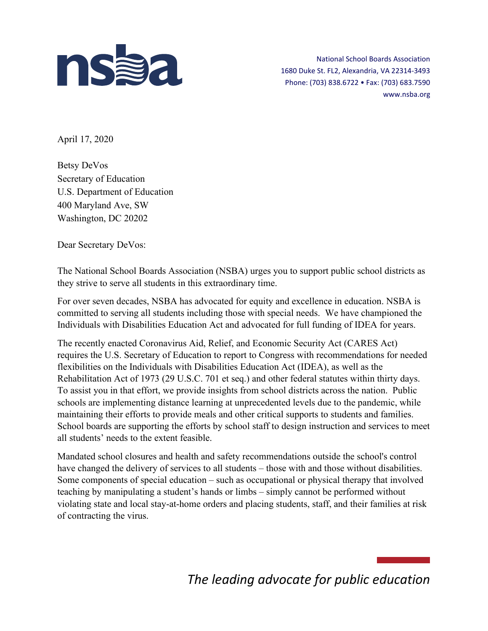

National School Boards Association 1680 Duke St. FL2, Alexandria, VA 22314-3493 Phone: (703) 838.6722 • Fax: (703) 683.7590 www.nsba.org

April 17, 2020

Betsy DeVos Secretary of Education U.S. Department of Education 400 Maryland Ave, SW Washington, DC 20202

Dear Secretary DeVos:

The National School Boards Association (NSBA) urges you to support public school districts as they strive to serve all students in this extraordinary time.

For over seven decades, NSBA has advocated for equity and excellence in education. NSBA is committed to serving all students including those with special needs. We have championed the Individuals with Disabilities Education Act and advocated for full funding of IDEA for years.

The recently enacted Coronavirus Aid, Relief, and Economic Security Act (CARES Act) requires the U.S. Secretary of Education to report to Congress with recommendations for needed flexibilities on the Individuals with Disabilities Education Act (IDEA), as well as the Rehabilitation Act of 1973 (29 U.S.C. 701 et seq.) and other federal statutes within thirty days. To assist you in that effort, we provide insights from school districts across the nation. Public schools are implementing distance learning at unprecedented levels due to the pandemic, while maintaining their efforts to provide meals and other critical supports to students and families. School boards are supporting the efforts by school staff to design instruction and services to meet all students' needs to the extent feasible.

Mandated school closures and health and safety recommendations outside the school's control have changed the delivery of services to all students – those with and those without disabilities. Some components of special education – such as occupational or physical therapy that involved teaching by manipulating a student's hands or limbs – simply cannot be performed without violating state and local stay-at-home orders and placing students, staff, and their families at risk of contracting the virus.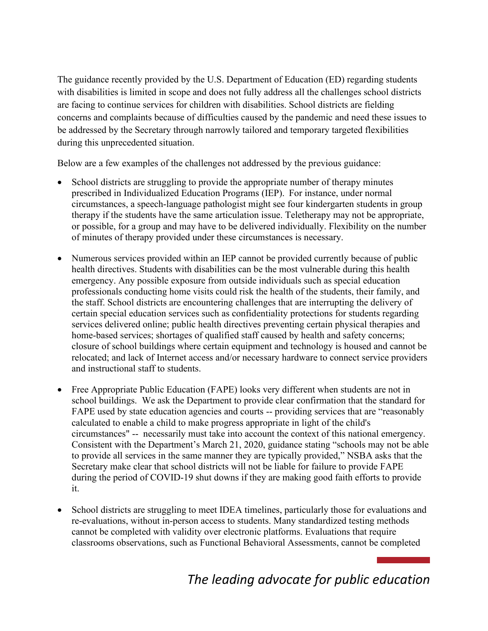The guidance recently provided by the U.S. Department of Education (ED) regarding students with disabilities is limited in scope and does not fully address all the challenges school districts are facing to continue services for children with disabilities. School districts are fielding concerns and complaints because of difficulties caused by the pandemic and need these issues to be addressed by the Secretary through narrowly tailored and temporary targeted flexibilities during this unprecedented situation.

Below are a few examples of the challenges not addressed by the previous guidance:

- School districts are struggling to provide the appropriate number of therapy minutes prescribed in Individualized Education Programs (IEP).  For instance, under normal circumstances, a speech-language pathologist might see four kindergarten students in group therapy if the students have the same articulation issue. Teletherapy may not be appropriate, or possible, for a group and may have to be delivered individually. Flexibility on the number of minutes of therapy provided under these circumstances is necessary.
- Numerous services provided within an IEP cannot be provided currently because of public health directives. Students with disabilities can be the most vulnerable during this health emergency. Any possible exposure from outside individuals such as special education professionals conducting home visits could risk the health of the students, their family, and the staff. School districts are encountering challenges that are interrupting the delivery of certain special education services such as confidentiality protections for students regarding services delivered online; public health directives preventing certain physical therapies and home-based services; shortages of qualified staff caused by health and safety concerns; closure of school buildings where certain equipment and technology is housed and cannot be relocated; and lack of Internet access and/or necessary hardware to connect service providers and instructional staff to students.
- Free Appropriate Public Education (FAPE) looks very different when students are not in school buildings. We ask the Department to provide clear confirmation that the standard for FAPE used by state education agencies and courts -- providing services that are "reasonably calculated to enable a child to make progress appropriate in light of the child's circumstances" -- necessarily must take into account the context of this national emergency. Consistent with the Department's March 21, 2020, guidance stating "schools may not be able to provide all services in the same manner they are typically provided," NSBA asks that the Secretary make clear that school districts will not be liable for failure to provide FAPE during the period of COVID-19 shut downs if they are making good faith efforts to provide it.
- School districts are struggling to meet IDEA timelines, particularly those for evaluations and re-evaluations, without in-person access to students. Many standardized testing methods cannot be completed with validity over electronic platforms. Evaluations that require classrooms observations, such as Functional Behavioral Assessments, cannot be completed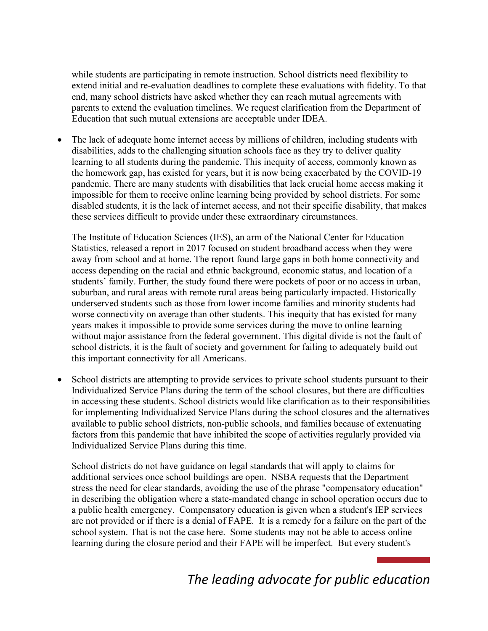while students are participating in remote instruction. School districts need flexibility to extend initial and re-evaluation deadlines to complete these evaluations with fidelity. To that end, many school districts have asked whether they can reach mutual agreements with parents to extend the evaluation timelines. We request clarification from the Department of Education that such mutual extensions are acceptable under IDEA.

The lack of adequate home internet access by millions of children, including students with disabilities, adds to the challenging situation schools face as they try to deliver quality learning to all students during the pandemic. This inequity of access, commonly known as the homework gap, has existed for years, but it is now being exacerbated by the COVID-19 pandemic. There are many students with disabilities that lack crucial home access making it impossible for them to receive online learning being provided by school districts. For some disabled students, it is the lack of internet access, and not their specific disability, that makes these services difficult to provide under these extraordinary circumstances.

The Institute of Education Sciences (IES), an arm of the National Center for Education Statistics, released a report in 2017 focused on student broadband access when they were away from school and at home. The report found large gaps in both home connectivity and access depending on the racial and ethnic background, economic status, and location of a students' family. Further, the study found there were pockets of poor or no access in urban, suburban, and rural areas with remote rural areas being particularly impacted. Historically underserved students such as those from lower income families and minority students had worse connectivity on average than other students. This inequity that has existed for many years makes it impossible to provide some services during the move to online learning without major assistance from the federal government. This digital divide is not the fault of school districts, it is the fault of society and government for failing to adequately build out this important connectivity for all Americans.

• School districts are attempting to provide services to private school students pursuant to their Individualized Service Plans during the term of the school closures, but there are difficulties in accessing these students. School districts would like clarification as to their responsibilities for implementing Individualized Service Plans during the school closures and the alternatives available to public school districts, non-public schools, and families because of extenuating factors from this pandemic that have inhibited the scope of activities regularly provided via Individualized Service Plans during this time.

School districts do not have guidance on legal standards that will apply to claims for additional services once school buildings are open. NSBA requests that the Department stress the need for clear standards, avoiding the use of the phrase "compensatory education" in describing the obligation where a state-mandated change in school operation occurs due to a public health emergency. Compensatory education is given when a student's IEP services are not provided or if there is a denial of FAPE. It is a remedy for a failure on the part of the school system. That is not the case here. Some students may not be able to access online learning during the closure period and their FAPE will be imperfect. But every student's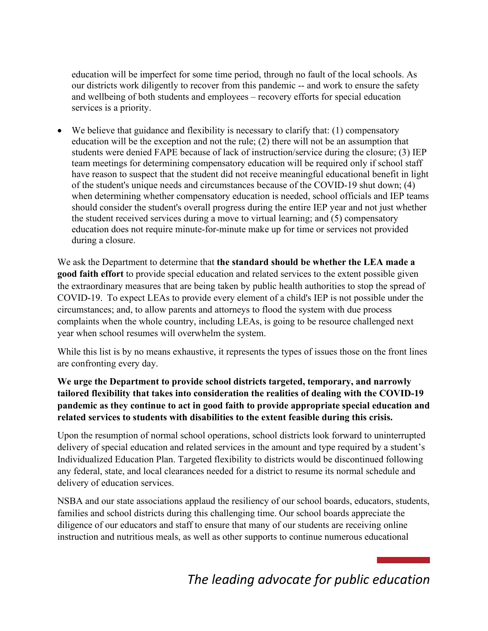education will be imperfect for some time period, through no fault of the local schools. As our districts work diligently to recover from this pandemic -- and work to ensure the safety and wellbeing of both students and employees – recovery efforts for special education services is a priority.

• We believe that guidance and flexibility is necessary to clarify that: (1) compensatory education will be the exception and not the rule; (2) there will not be an assumption that students were denied FAPE because of lack of instruction/service during the closure; (3) IEP team meetings for determining compensatory education will be required only if school staff have reason to suspect that the student did not receive meaningful educational benefit in light of the student's unique needs and circumstances because of the COVID-19 shut down; (4) when determining whether compensatory education is needed, school officials and IEP teams should consider the student's overall progress during the entire IEP year and not just whether the student received services during a move to virtual learning; and (5) compensatory education does not require minute-for-minute make up for time or services not provided during a closure.

We ask the Department to determine that **the standard should be whether the LEA made a good faith effort** to provide special education and related services to the extent possible given the extraordinary measures that are being taken by public health authorities to stop the spread of COVID-19.  To expect LEAs to provide every element of a child's IEP is not possible under the circumstances; and, to allow parents and attorneys to flood the system with due process complaints when the whole country, including LEAs, is going to be resource challenged next year when school resumes will overwhelm the system.

While this list is by no means exhaustive, it represents the types of issues those on the front lines are confronting every day.

## **We urge the Department to provide school districts targeted, temporary, and narrowly tailored flexibility that takes into consideration the realities of dealing with the COVID-19 pandemic as they continue to act in good faith to provide appropriate special education and related services to students with disabilities to the extent feasible during this crisis.**

Upon the resumption of normal school operations, school districts look forward to uninterrupted delivery of special education and related services in the amount and type required by a student's Individualized Education Plan. Targeted flexibility to districts would be discontinued following any federal, state, and local clearances needed for a district to resume its normal schedule and delivery of education services.

NSBA and our state associations applaud the resiliency of our school boards, educators, students, families and school districts during this challenging time. Our school boards appreciate the diligence of our educators and staff to ensure that many of our students are receiving online instruction and nutritious meals, as well as other supports to continue numerous educational